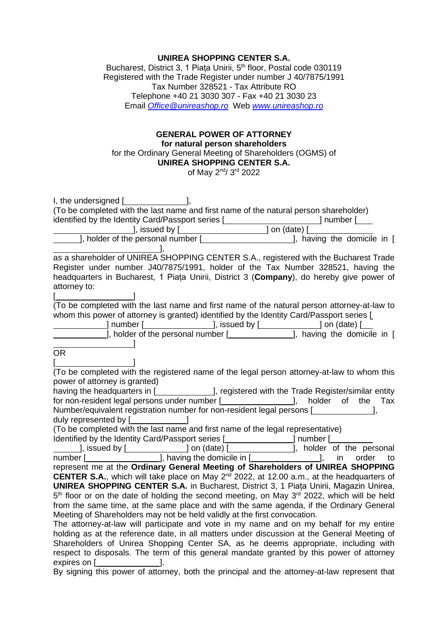## **UNIREA SHOPPING CENTER S.A.**

Bucharest, District 3, 1 Piața Unirii, 5<sup>th</sup> floor, Postal code 030119 Registered with the Trade Register under number J 40/7875/1991 Tax Number 328521 - Tax Attribute RO Telephone +40 21 3030 307 - Fax +40 21 3030 23 Email *[Office@unireashop.ro](mailto:Office@unireashop.ro)* Web *[www.unireashop.ro](http://www.unireashop.ro/)*

## **GENERAL POWER OF ATTORNEY for natural person shareholders** for the Ordinary General Meeting of Shareholders (OGMS) of **UNIREA SHOPPING CENTER S.A.**

of May 2<sup>nd</sup>/ 3<sup>rd</sup> 2022

| I, the undersigned $[\underline{\hspace{1cm}}]$ ,                                                                                                                                                                                                     |
|-------------------------------------------------------------------------------------------------------------------------------------------------------------------------------------------------------------------------------------------------------|
| (To be completed with the last name and first name of the natural person shareholder)                                                                                                                                                                 |
| identified by the Identity Card/Passport series [ <b>Conserver 1994</b> Thumber [ <i>Conserver 1994</i> Thumber [ <i>Conserver 1994</i>                                                                                                               |
| and the set of the set of the set of the set of the set of the set of the set of the set of the set of the set o                                                                                                                                      |
| ], holder of the personal number [_______________________], having the domicile in [                                                                                                                                                                  |
|                                                                                                                                                                                                                                                       |
| as a shareholder of UNIREA SHOPPING CENTER S.A., registered with the Bucharest Trade                                                                                                                                                                  |
| Register under number J40/7875/1991, holder of the Tax Number 328521, having the                                                                                                                                                                      |
| headquarters in Bucharest, 1 Piata Unirii, District 3 (Company), do hereby give power of                                                                                                                                                              |
| attorney to:                                                                                                                                                                                                                                          |
|                                                                                                                                                                                                                                                       |
| (To be completed with the last name and first name of the natural person attorney-at-law to                                                                                                                                                           |
| whom this power of attorney is granted) identified by the Identity Card/Passport series [                                                                                                                                                             |
|                                                                                                                                                                                                                                                       |
|                                                                                                                                                                                                                                                       |
|                                                                                                                                                                                                                                                       |
| OR.                                                                                                                                                                                                                                                   |
|                                                                                                                                                                                                                                                       |
| (To be completed with the registered name of the legal person attorney-at-law to whom this                                                                                                                                                            |
| power of attorney is granted)                                                                                                                                                                                                                         |
| having the headquarters in [ <b>will concent concentrator</b> ], registered with the Trade Register/similar entity                                                                                                                                    |
| for non-resident legal persons under number [______________________], holder of the<br>Tax                                                                                                                                                            |
| Number/equivalent registration number for non-resident legal persons [                                                                                                                                                                                |
| duly represented by [                                                                                                                                                                                                                                 |
| (To be completed with the last name and first name of the legal representative)                                                                                                                                                                       |
|                                                                                                                                                                                                                                                       |
|                                                                                                                                                                                                                                                       |
| Identified by the Identity Card/Passport series [ <b>witch the control of the control of the personal</b><br>1, issued by [ <b>witch the control of the control of the personal</b><br>number [ <b>witch the control of the control of the contro</b> |
| represent me at the Ordinary General Meeting of Shareholders of UNIREA SHOPPING                                                                                                                                                                       |
| <b>CENTER S.A.</b> , which will take place on May $2^{nd}$ 2022, at 12.00 a.m., at the headquarters of                                                                                                                                                |
| <b>UNIREA SHOPPING CENTER S.A.</b> in Bucharest, District 3, 1 Piața Unirii, Magazin Unirea,                                                                                                                                                          |
| 5 <sup>th</sup> floor or on the date of holding the second meeting, on May 3 <sup>rd</sup> 2022, which will be held                                                                                                                                   |
| from the same time, at the same place and with the same agenda, if the Ordinary General                                                                                                                                                               |
| Meeting of Shareholders may not be held validly at the first convocation.                                                                                                                                                                             |
| The attorney-at-law will participate and vote in my name and on my behalf for my entire                                                                                                                                                               |
| holding as at the reference date, in all matters under discussion at the General Meeting of                                                                                                                                                           |
| Shareholders of Unirea Shopping Center SA, as he deems appropriate, including with                                                                                                                                                                    |
| respect to disposals. The term of this general mandate granted by this power of attorney                                                                                                                                                              |
| expires on [ <b><i>_____________</i>__</b><br>Ι.                                                                                                                                                                                                      |
|                                                                                                                                                                                                                                                       |

By signing this power of attorney, both the principal and the attorney-at-law represent that